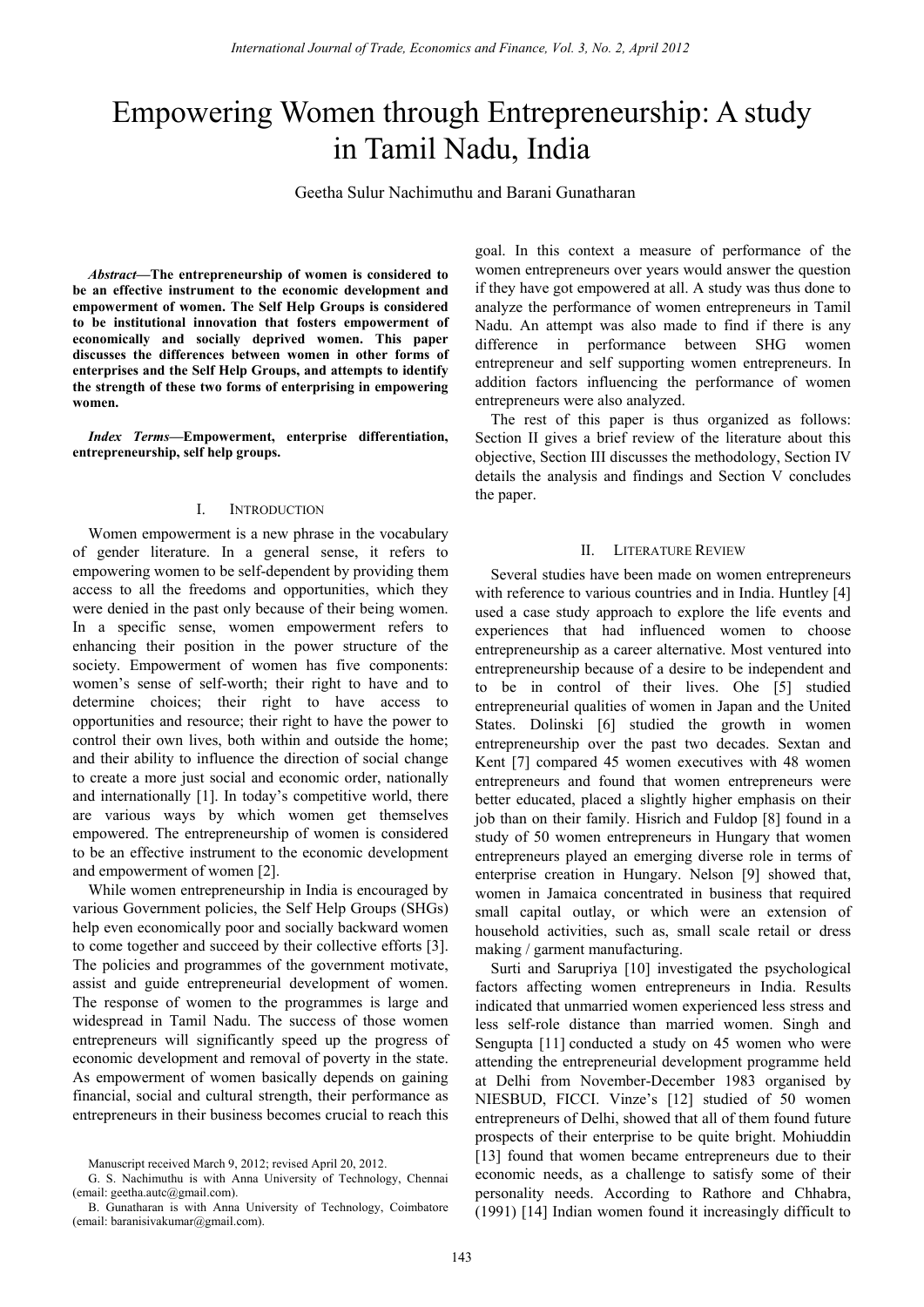# Empowering Women through Entrepreneurship: A study in Tamil Nadu, India

Geetha Sulur Nachimuthu and Barani Gunatharan

*Abstract***—The entrepreneurship of women is considered to be an effective instrument to the economic development and empowerment of women. The Self Help Groups is considered to be institutional innovation that fosters empowerment of economically and socially deprived women. This paper discusses the differences between women in other forms of enterprises and the Self Help Groups, and attempts to identify the strength of these two forms of enterprising in empowering women.** 

*Index Terms***—Empowerment, enterprise differentiation, entrepreneurship, self help groups.** 

#### I. INTRODUCTION

Women empowerment is a new phrase in the vocabulary of gender literature. In a general sense, it refers to empowering women to be self-dependent by providing them access to all the freedoms and opportunities, which they were denied in the past only because of their being women. In a specific sense, women empowerment refers to enhancing their position in the power structure of the society. Empowerment of women has five components: women's sense of self-worth; their right to have and to determine choices; their right to have access to opportunities and resource; their right to have the power to control their own lives, both within and outside the home; and their ability to influence the direction of social change to create a more just social and economic order, nationally and internationally [1]. In today's competitive world, there are various ways by which women get themselves empowered. The entrepreneurship of women is considered to be an effective instrument to the economic development and empowerment of women [2].

While women entrepreneurship in India is encouraged by various Government policies, the Self Help Groups (SHGs) help even economically poor and socially backward women to come together and succeed by their collective efforts [3]. The policies and programmes of the government motivate, assist and guide entrepreneurial development of women. The response of women to the programmes is large and widespread in Tamil Nadu. The success of those women entrepreneurs will significantly speed up the progress of economic development and removal of poverty in the state. As empowerment of women basically depends on gaining financial, social and cultural strength, their performance as entrepreneurs in their business becomes crucial to reach this

goal. In this context a measure of performance of the women entrepreneurs over years would answer the question if they have got empowered at all. A study was thus done to analyze the performance of women entrepreneurs in Tamil Nadu. An attempt was also made to find if there is any difference in performance between SHG women entrepreneur and self supporting women entrepreneurs. In addition factors influencing the performance of women entrepreneurs were also analyzed.

The rest of this paper is thus organized as follows: Section II gives a brief review of the literature about this objective, Section III discusses the methodology, Section IV details the analysis and findings and Section V concludes the paper.

#### II. LITERATURE REVIEW

Several studies have been made on women entrepreneurs with reference to various countries and in India. Huntley [4] used a case study approach to explore the life events and experiences that had influenced women to choose entrepreneurship as a career alternative. Most ventured into entrepreneurship because of a desire to be independent and to be in control of their lives. Ohe [5] studied entrepreneurial qualities of women in Japan and the United States. Dolinski [6] studied the growth in women entrepreneurship over the past two decades. Sextan and Kent [7] compared 45 women executives with 48 women entrepreneurs and found that women entrepreneurs were better educated, placed a slightly higher emphasis on their job than on their family. Hisrich and Fuldop [8] found in a study of 50 women entrepreneurs in Hungary that women entrepreneurs played an emerging diverse role in terms of enterprise creation in Hungary. Nelson [9] showed that, women in Jamaica concentrated in business that required small capital outlay, or which were an extension of household activities, such as, small scale retail or dress making / garment manufacturing. *International Journal of Trade,* Economics and Finance, Vol. 2, April 2013<br> **in Tamil Nadu, India**<br> **in Tamil Nadu, India**<br> **in Tamil Nadu, India**<br> **circle Sular Nachimulus and Barani Gunatharan**<br> **exception and Economic** 

Surti and Sarupriya [10] investigated the psychological factors affecting women entrepreneurs in India. Results indicated that unmarried women experienced less stress and less self-role distance than married women. Singh and Sengupta [11] conducted a study on 45 women who were attending the entrepreneurial development programme held at Delhi from November-December 1983 organised by NIESBUD, FICCI. Vinze's [12] studied of 50 women entrepreneurs of Delhi, showed that all of them found future prospects of their enterprise to be quite bright. Mohiuddin [13] found that women became entrepreneurs due to their economic needs, as a challenge to satisfy some of their personality needs. According to Rathore and Chhabra, (1991) [14] Indian women found it increasingly difficult to

Manuscript received March 9, 2012; revised April 20, 2012.

G. S. Nachimuthu is with Anna University of Technology, Chennai (email: geetha.autc@gmail.com).

B. Gunatharan is with Anna University of Technology, Coimbatore (email: baranisivakumar@gmail.com).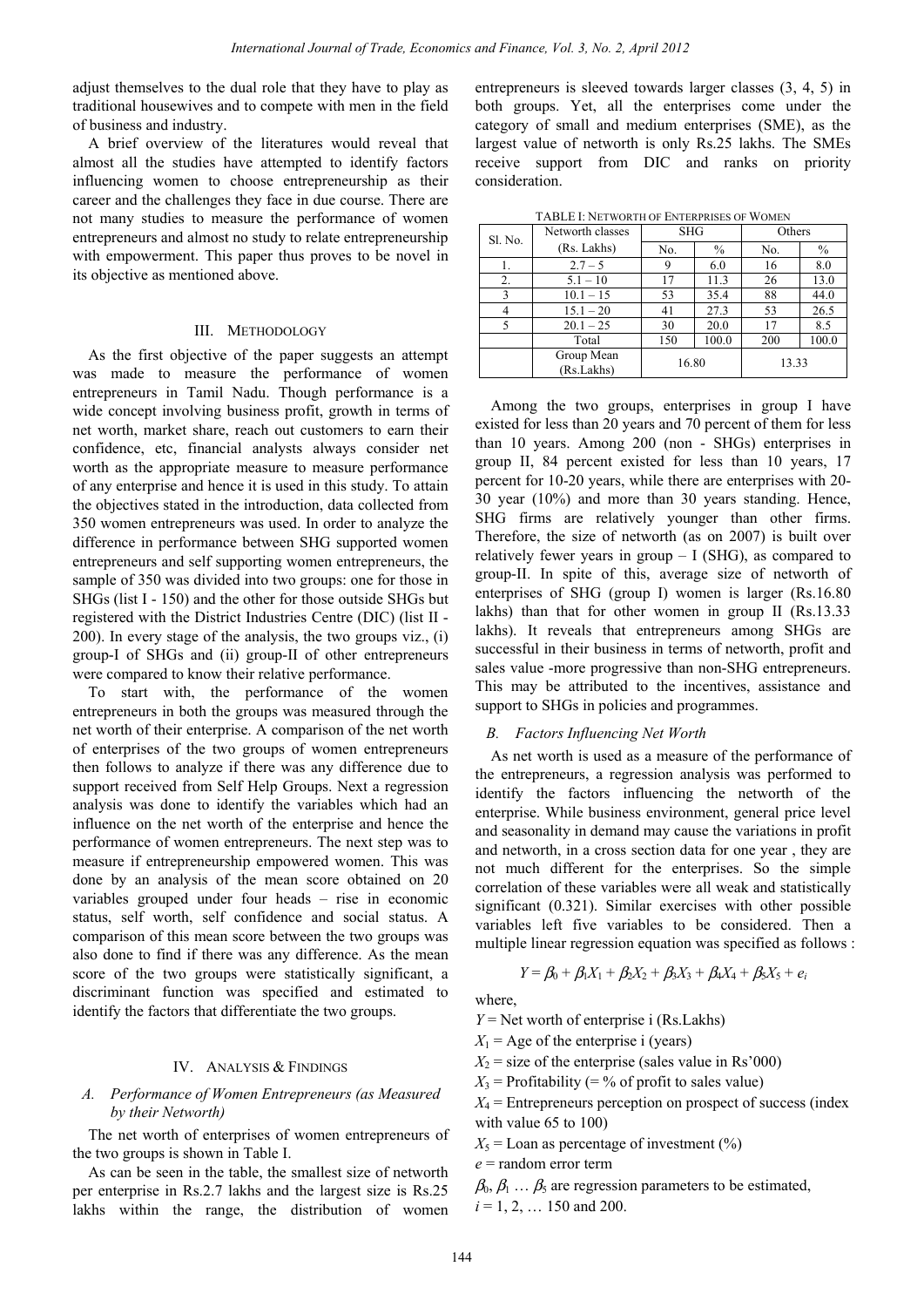adjust themselves to the dual role that they have to play as traditional housewives and to compete with men in the field of business and industry.

A brief overview of the literatures would reveal that almost all the studies have attempted to identify factors influencing women to choose entrepreneurship as their career and the challenges they face in due course. There are not many studies to measure the performance of women entrepreneurs and almost no study to relate entrepreneurship with empowerment. This paper thus proves to be novel in its objective as mentioned above.

## III. METHODOLOGY

As the first objective of the paper suggests an attempt was made to measure the performance of women entrepreneurs in Tamil Nadu. Though performance is a wide concept involving business profit, growth in terms of net worth, market share, reach out customers to earn their confidence, etc, financial analysts always consider net worth as the appropriate measure to measure performance of any enterprise and hence it is used in this study. To attain the objectives stated in the introduction, data collected from 350 women entrepreneurs was used. In order to analyze the difference in performance between SHG supported women entrepreneurs and self supporting women entrepreneurs, the sample of 350 was divided into two groups: one for those in SHGs (list I - 150) and the other for those outside SHGs but registered with the District Industries Centre (DIC) (list II - 200). In every stage of the analysis, the two groups viz., (i) group-I of SHGs and (ii) group-II of other entrepreneurs were compared to know their relative performance.

To start with, the performance of the women entrepreneurs in both the groups was measured through the net worth of their enterprise. A comparison of the net worth of enterprises of the two groups of women entrepreneurs then follows to analyze if there was any difference due to support received from Self Help Groups. Next a regression analysis was done to identify the variables which had an influence on the net worth of the enterprise and hence the performance of women entrepreneurs. The next step was to measure if entrepreneurship empowered women. This was done by an analysis of the mean score obtained on 20 variables grouped under four heads – rise in economic status, self worth, self confidence and social status. A comparison of this mean score between the two groups was also done to find if there was any difference. As the mean score of the two groups were statistically significant, a discriminant function was specified and estimated to identify the factors that differentiate the two groups. *International Journal of Trade, Economics and Finance, Vol. 2, April 2013*<br>dual of the the the the plays as enterpretation is sleeved lowed by the constrained of the the the the the the term<br>the international of the stat

#### IV. ANALYSIS & FINDINGS

## *A. Performance of Women Entrepreneurs (as Measured by their Networth)*

The net worth of enterprises of women entrepreneurs of the two groups is shown in Table I.

As can be seen in the table, the smallest size of networth per enterprise in Rs.2.7 lakhs and the largest size is Rs.25 lakhs within the range, the distribution of women entrepreneurs is sleeved towards larger classes (3, 4, 5) in both groups. Yet, all the enterprises come under the category of small and medium enterprises (SME), as the largest value of networth is only Rs.25 lakhs. The SMEs receive support from DIC and ranks on priority consideration.

| <b>TABLE I: NETWORTH OF ENTERPRISES OF WOMEN</b> |  |
|--------------------------------------------------|--|
|                                                  |  |

| Sl. No. | Networth classes         | <b>SHG</b> |       | Others |       |
|---------|--------------------------|------------|-------|--------|-------|
|         | (Rs. Lakhs)              | No.        | $\%$  | No.    | $\%$  |
|         | $2.7 - 5$                | 9          | 6.0   | 16     | 8.0   |
| 2.      | $5.1 - 10$               | 17         | 11.3  | 26     | 13.0  |
| 3       | $10.1 - 15$              | 53         | 35.4  | 88     | 44.0  |
|         | $15.1 - 20$              | 41         | 27.3  | 53     | 26.5  |
|         | $20.1 - 25$              | 30         | 20.0  | 17     | 8.5   |
|         | Total                    | 150        | 100.0 | 200    | 100.0 |
|         | Group Mean<br>(Rs.Lakhs) | 16.80      |       | 13.33  |       |

Among the two groups, enterprises in group I have existed for less than 20 years and 70 percent of them for less than 10 years. Among 200 (non - SHGs) enterprises in group II, 84 percent existed for less than 10 years, 17 percent for 10-20 years, while there are enterprises with 20- 30 year (10%) and more than 30 years standing. Hence, SHG firms are relatively younger than other firms. Therefore, the size of networth (as on 2007) is built over relatively fewer years in group  $- I$  (SHG), as compared to group-II. In spite of this, average size of networth of enterprises of SHG (group I) women is larger (Rs.16.80 lakhs) than that for other women in group II (Rs.13.33 lakhs). It reveals that entrepreneurs among SHGs are successful in their business in terms of networth, profit and sales value -more progressive than non-SHG entrepreneurs. This may be attributed to the incentives, assistance and support to SHGs in policies and programmes.

#### *B. Factors Influencing Net Worth*

As net worth is used as a measure of the performance of the entrepreneurs, a regression analysis was performed to identify the factors influencing the networth of the enterprise. While business environment, general price level and seasonality in demand may cause the variations in profit and networth, in a cross section data for one year , they are not much different for the enterprises. So the simple correlation of these variables were all weak and statistically significant (0.321). Similar exercises with other possible variables left five variables to be considered. Then a multiple linear regression equation was specified as follows :

$$
Y = \beta_0 + \beta_1 X_1 + \beta_2 X_2 + \beta_3 X_3 + \beta_4 X_4 + \beta_5 X_5 + e_i
$$

where,

$$
Y
$$
 = Net worth of enterprise i (Rs.Lakhs)

 $X_1$  = Age of the enterprise i (years)

 $X_2$  = size of the enterprise (sales value in Rs'000)

 $X_3$  = Profitability (= % of profit to sales value)

 $X_4$  = Entrepreneurs perception on prospect of success (index with value 65 to 100)

 $X_5$  = Loan as percentage of investment (%)

*e* = random error term

 $\beta_0$ ,  $\beta_1$  ...  $\beta_5$  are regression parameters to be estimated,

 $i = 1, 2, \ldots$  150 and 200.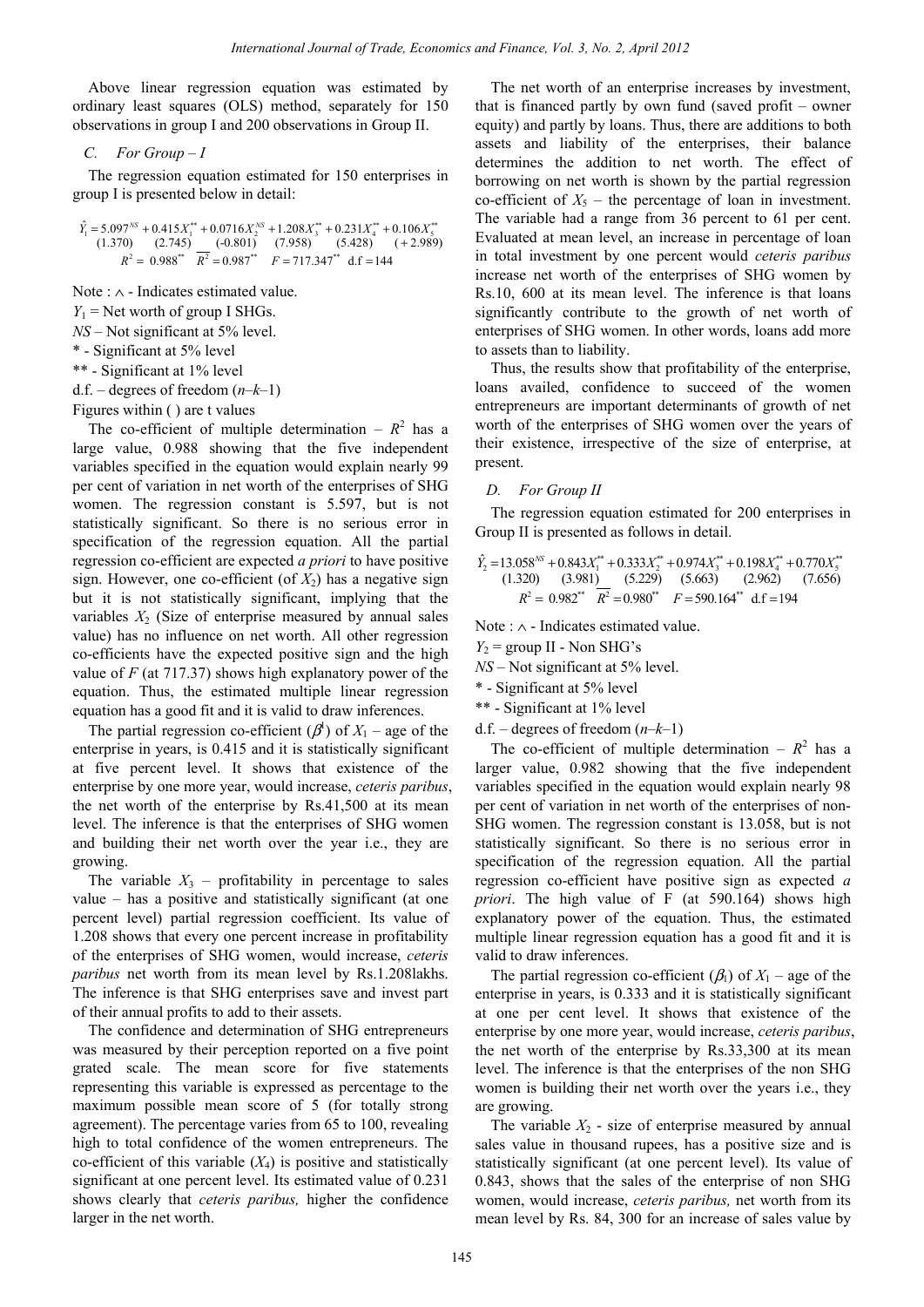Above linear regression equation was estimated by ordinary least squares (OLS) method, separately for 150 observations in group I and 200 observations in Group II.

#### *C. For Group – I*

The regression equation estimated for 150 enterprises in group I is presented below in detail:

$$
\hat{Y}_1 = 5.097^{NS} + 0.415X_1^{**} + 0.0716X_2^{NS} + 1.208X_3^{**} + 0.231X_4^{**} + 0.106X_5^{**}
$$
\n
$$
(1.370) \quad (2.745) \quad (-0.801) \quad (7.958) \quad (5.428) \quad (+2.989)
$$
\n
$$
R^2 = 0.988^{**} \quad R^2 = 0.987^{**} \quad F = 717.347^{**} \quad \text{d.f.} = 144
$$

Note : ∧ - Indicates estimated value.

 $Y_1$  = Net worth of group I SHGs.

*NS* – Not significant at 5% level.

\* - Significant at 5% level

\*\* - Significant at 1% level

d.f. – degrees of freedom (*n–k–*1)

Figures within ( ) are t values

The co-efficient of multiple determination –  $R^2$  has a large value, 0.988 showing that the five independent variables specified in the equation would explain nearly 99 per cent of variation in net worth of the enterprises of SHG women. The regression constant is 5.597, but is not statistically significant. So there is no serious error in specification of the regression equation. All the partial regression co-efficient are expected *a priori* to have positive sign. However, one co-efficient (of  $X_2$ ) has a negative sign but it is not statistically significant, implying that the variables  $X_2$  (Size of enterprise measured by annual sales value) has no influence on net worth. All other regression co-efficients have the expected positive sign and the high value of *F* (at 717.37) shows high explanatory power of the equation. Thus, the estimated multiple linear regression equation has a good fit and it is valid to draw inferences. *International Journal of Trade,* Economics and Finance, Vol. 2, April 2013<br>
i.e., a consisted by The net worth of an enterprise<br>
i.e., the consisted by The angular variations are from the state of the state of the state

The partial regression co-efficient  $(\beta^l)$  of  $X_1$  – age of the enterprise in years, is 0.415 and it is statistically significant at five percent level. It shows that existence of the enterprise by one more year, would increase, *ceteris paribus*, the net worth of the enterprise by Rs.41,500 at its mean level. The inference is that the enterprises of SHG women and building their net worth over the year i.e., they are growing.

The variable  $X_3$  – profitability in percentage to sales value – has a positive and statistically significant (at one percent level) partial regression coefficient. Its value of 1.208 shows that every one percent increase in profitability of the enterprises of SHG women, would increase, *ceteris paribus* net worth from its mean level by Rs.1.208lakhs. The inference is that SHG enterprises save and invest part of their annual profits to add to their assets.

The confidence and determination of SHG entrepreneurs was measured by their perception reported on a five point grated scale. The mean score for five statements representing this variable is expressed as percentage to the maximum possible mean score of 5 (for totally strong agreement). The percentage varies from 65 to 100, revealing high to total confidence of the women entrepreneurs. The co-efficient of this variable  $(X_4)$  is positive and statistically significant at one percent level. Its estimated value of 0.231 shows clearly that *ceteris paribus,* higher the confidence larger in the net worth.

The net worth of an enterprise increases by investment, that is financed partly by own fund (saved profit – owner equity) and partly by loans. Thus, there are additions to both assets and liability of the enterprises, their balance determines the addition to net worth. The effect of borrowing on net worth is shown by the partial regression co-efficient of  $X_5$  – the percentage of loan in investment. The variable had a range from 36 percent to 61 per cent. Evaluated at mean level, an increase in percentage of loan in total investment by one percent would *ceteris paribus*  increase net worth of the enterprises of SHG women by Rs.10, 600 at its mean level. The inference is that loans significantly contribute to the growth of net worth of enterprises of SHG women. In other words, loans add more to assets than to liability.

Thus, the results show that profitability of the enterprise, loans availed, confidence to succeed of the women entrepreneurs are important determinants of growth of net worth of the enterprises of SHG women over the years of their existence, irrespective of the size of enterprise, at present.

### *D. For Group II*

The regression equation estimated for 200 enterprises in Group II is presented as follows in detail.

$$
\hat{Y}_2 = 13.058^{N5} + 0.843X_1^{**} + 0.333X_2^{**} + 0.974X_3^{**} + 0.198X_4^{**} + 0.770X_5^{**}
$$
\n
$$
(1.320) \quad (3.981) \quad (5.229) \quad (5.663) \quad (2.962) \quad (7.656)
$$
\n
$$
R^2 = 0.982^{**} \quad R^2 = 0.980^{**} \quad F = 590.164^{**} \quad \text{d}f = 194
$$

Note : ∧ - Indicates estimated value.

 $Y_2$  = group II - Non SHG's

*NS* – Not significant at 5% level.

\* - Significant at 5% level

\*\* - Significant at 1% level

d.f. – degrees of freedom (*n–k–*1)

The co-efficient of multiple determination –  $R^2$  has a larger value, 0.982 showing that the five independent variables specified in the equation would explain nearly 98 per cent of variation in net worth of the enterprises of non-SHG women. The regression constant is 13.058, but is not statistically significant. So there is no serious error in specification of the regression equation. All the partial regression co-efficient have positive sign as expected *a priori*. The high value of F (at 590.164) shows high explanatory power of the equation. Thus, the estimated multiple linear regression equation has a good fit and it is valid to draw inferences.

The partial regression co-efficient  $(\beta_1)$  of  $X_1$  – age of the enterprise in years, is 0.333 and it is statistically significant at one per cent level. It shows that existence of the enterprise by one more year, would increase, *ceteris paribus*, the net worth of the enterprise by Rs.33,300 at its mean level. The inference is that the enterprises of the non SHG women is building their net worth over the years i.e., they are growing.

The variable  $X_2$  - size of enterprise measured by annual sales value in thousand rupees, has a positive size and is statistically significant (at one percent level). Its value of 0.843, shows that the sales of the enterprise of non SHG women, would increase, *ceteris paribus,* net worth from its mean level by Rs. 84, 300 for an increase of sales value by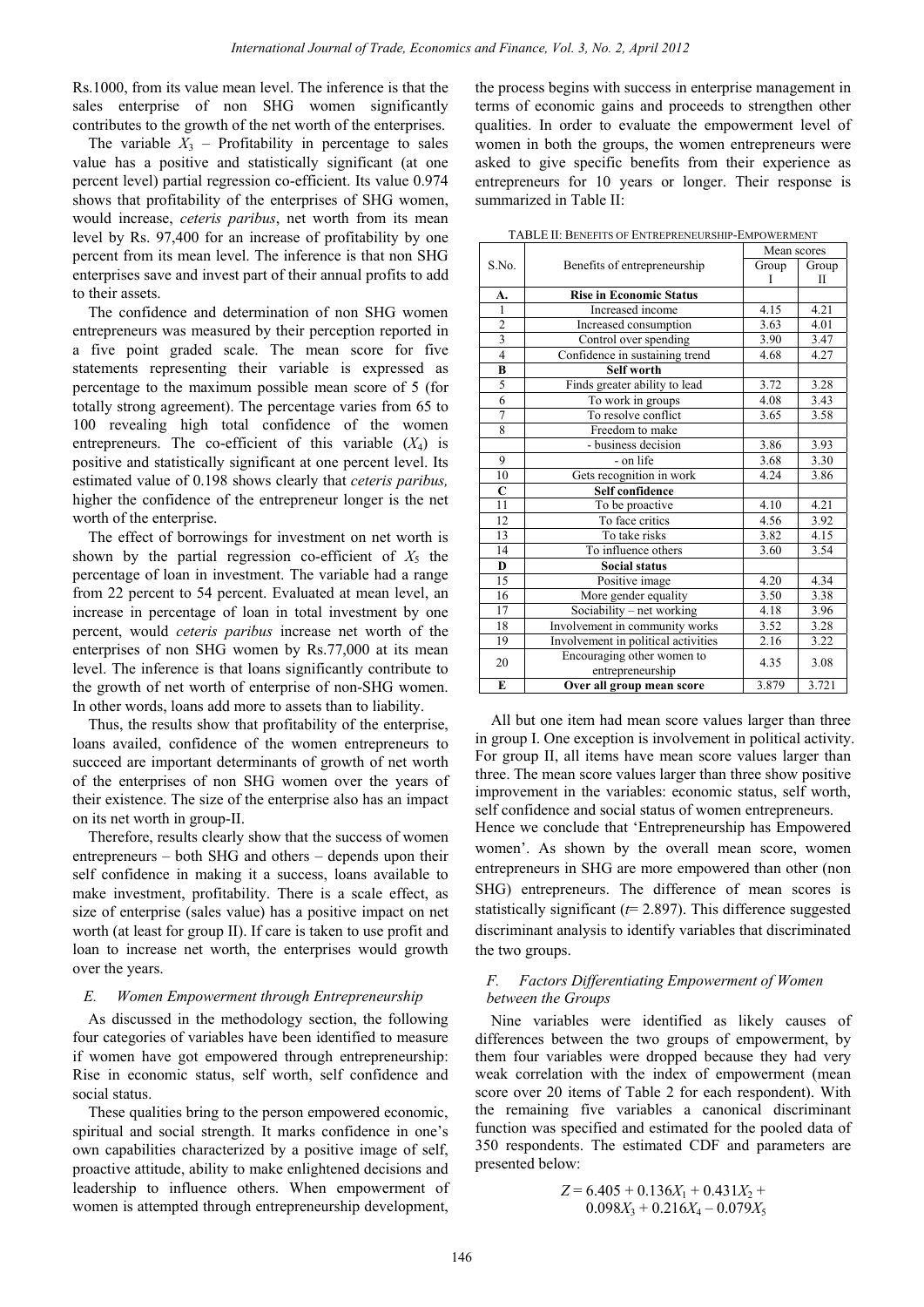Rs.1000, from its value mean level. The inference is that the sales enterprise of non SHG women significantly contributes to the growth of the net worth of the enterprises.

The variable  $X_3$  – Profitability in percentage to sales value has a positive and statistically significant (at one percent level) partial regression co-efficient. Its value 0.974 shows that profitability of the enterprises of SHG women, would increase, *ceteris paribus*, net worth from its mean level by Rs. 97,400 for an increase of profitability by one percent from its mean level. The inference is that non SHG enterprises save and invest part of their annual profits to add to their assets.

The confidence and determination of non SHG women entrepreneurs was measured by their perception reported in a five point graded scale. The mean score for five statements representing their variable is expressed as percentage to the maximum possible mean score of 5 (for totally strong agreement). The percentage varies from 65 to 100 revealing high total confidence of the women entrepreneurs. The co-efficient of this variable  $(X_4)$  is positive and statistically significant at one percent level. Its estimated value of 0.198 shows clearly that *ceteris paribus,* higher the confidence of the entrepreneur longer is the net worth of the enterprise.

The effect of borrowings for investment on net worth is shown by the partial regression co-efficient of  $X_5$  the percentage of loan in investment. The variable had a range from 22 percent to 54 percent. Evaluated at mean level, an increase in percentage of loan in total investment by one percent, would *ceteris paribus* increase net worth of the enterprises of non SHG women by Rs.77,000 at its mean level. The inference is that loans significantly contribute to the growth of net worth of enterprise of non-SHG women. In other words, loans add more to assets than to liability.

Thus, the results show that profitability of the enterprise, loans availed, confidence of the women entrepreneurs to succeed are important determinants of growth of net worth of the enterprises of non SHG women over the years of their existence. The size of the enterprise also has an impact on its net worth in group-II.

Therefore, results clearly show that the success of women entrepreneurs – both SHG and others – depends upon their self confidence in making it a success, loans available to make investment, profitability. There is a scale effect, as size of enterprise (sales value) has a positive impact on net worth (at least for group II). If care is taken to use profit and loan to increase net worth, the enterprises would growth over the years.

### *E. Women Empowerment through Entrepreneurship*

As discussed in the methodology section, the following four categories of variables have been identified to measure if women have got empowered through entrepreneurship: Rise in economic status, self worth, self confidence and social status.

These qualities bring to the person empowered economic, spiritual and social strength. It marks confidence in one's own capabilities characterized by a positive image of self, proactive attitude, ability to make enlightened decisions and leadership to influence others. When empowerment of women is attempted through entrepreneurship development,

| International Journal of Trade, Economics and Finance, Vol. 3, No. 2, April 2012 |                                                                           |                                                                    |              |              |  |
|----------------------------------------------------------------------------------|---------------------------------------------------------------------------|--------------------------------------------------------------------|--------------|--------------|--|
| hean level. The inference is that the                                            |                                                                           | the process begins with success in enterprise management in        |              |              |  |
|                                                                                  |                                                                           |                                                                    |              |              |  |
| on SHG women significantly                                                       |                                                                           | terms of economic gains and proceeds to strengthen other           |              |              |  |
| of the net worth of the enterprises.                                             | qualities. In order to evaluate the empowerment level of                  |                                                                    |              |              |  |
| ofitability in percentage to sales                                               | women in both the groups, the women entrepreneurs were                    |                                                                    |              |              |  |
| d statistically significant (at one                                              | asked to give specific benefits from their experience as                  |                                                                    |              |              |  |
| ession co-efficient. Its value 0.974                                             | entrepreneurs for 10 years or longer. Their response is                   |                                                                    |              |              |  |
| of the enterprises of SHG women,                                                 | summarized in Table II:                                                   |                                                                    |              |              |  |
|                                                                                  |                                                                           |                                                                    |              |              |  |
| paribus, net worth from its mean                                                 |                                                                           |                                                                    |              |              |  |
| an increase of profitability by one                                              |                                                                           | TABLE II: BENEFITS OF ENTREPRENEURSHIP-EMPOWERMENT                 | Mean scores  |              |  |
| vel. The inference is that non SHG                                               | S.No.                                                                     | Benefits of entrepreneurship                                       | Group        |              |  |
| st part of their annual profits to add                                           |                                                                           |                                                                    | Ι            | Group<br>П   |  |
|                                                                                  | A.                                                                        | <b>Rise in Economic Status</b>                                     |              |              |  |
| etermination of non SHG women                                                    | 1                                                                         | Increased income                                                   | 4.15         | 4.21         |  |
|                                                                                  | $\overline{c}$                                                            | Increased consumption                                              | 3.63         | 4.01         |  |
| red by their perception reported in                                              | 3                                                                         | Control over spending                                              | 3.90         | 3.47         |  |
| cale. The mean score for five                                                    | $\overline{\mathbf{4}}$                                                   | Confidence in sustaining trend                                     | 4.68         | 4.27         |  |
| their variable is expressed as                                                   | В                                                                         | Self worth                                                         |              |              |  |
| um possible mean score of 5 (for                                                 | 5                                                                         | Finds greater ability to lead                                      | 3.72         | 3.28         |  |
| The percentage varies from 65 to                                                 | 6                                                                         | To work in groups                                                  | 4.08         | 3.43         |  |
| otal confidence of the women                                                     | 7                                                                         | To resolve conflict                                                | 3.65         | 3.58         |  |
| efficient of this variable $(X_4)$ is                                            | 8                                                                         | Freedom to make                                                    |              |              |  |
|                                                                                  | 9                                                                         | - business decision<br>- on life                                   | 3.86<br>3.68 | 3.93<br>3.30 |  |
| significant at one percent level. Its                                            | 10                                                                        | Gets recognition in work                                           | 4.24         | 3.86         |  |
| shows clearly that ceteris paribus,                                              | C                                                                         | Self confidence                                                    |              |              |  |
| the entrepreneur longer is the net                                               | 11                                                                        | To be proactive                                                    | 4.10         | 4.21         |  |
|                                                                                  | 12                                                                        | To face critics                                                    | 4.56         | 3.92         |  |
| ngs for investment on net worth is                                               | 13                                                                        | To take risks                                                      | 3.82         | 4.15         |  |
| regression co-efficient of $X_5$ the                                             | 14                                                                        | To influence others                                                | 3.60         | 3.54         |  |
|                                                                                  | D                                                                         | <b>Social status</b>                                               |              |              |  |
| estment. The variable had a range                                                | 15                                                                        | Positive image                                                     | 4.20         | 4.34         |  |
| rcent. Evaluated at mean level, an                                               | 16                                                                        | More gender equality                                               | 3.50         | 3.38         |  |
| f loan in total investment by one                                                | 17                                                                        | Sociability - net working                                          | 4.18         | 3.96         |  |
| <i>aribus</i> increase net worth of the                                          | 18<br>19                                                                  | Involvement in community works                                     | 3.52         | 3.28         |  |
| women by Rs.77,000 at its mean                                                   |                                                                           | Involvement in political activities<br>Encouraging other women to  | 2.16         | 3.22         |  |
| at loans significantly contribute to                                             | 20                                                                        | entrepreneurship                                                   | 4.35         | 3.08         |  |
| of enterprise of non-SHG women.                                                  | E                                                                         | Over all group mean score                                          | 3.879        | 3.721        |  |
| more to assets than to liability.                                                |                                                                           |                                                                    |              |              |  |
|                                                                                  |                                                                           | All but one item had mean score values larger than three           |              |              |  |
| that profitability of the enterprise,                                            |                                                                           | in group I. One exception is involvement in political activity     |              |              |  |
| e of the women entrepreneurs to                                                  |                                                                           | For group II, all items have mean score values larger than         |              |              |  |
| terminants of growth of net worth                                                |                                                                           |                                                                    |              |              |  |
| n SHG women over the years of                                                    |                                                                           | three. The mean score values larger than three show positive       |              |              |  |
| of the enterprise also has an impact                                             |                                                                           | improvement in the variables: economic status, self worth,         |              |              |  |
| П.                                                                               |                                                                           | self confidence and social status of women entrepreneurs.          |              |              |  |
| ly show that the success of women                                                |                                                                           | Hence we conclude that 'Entrepreneurship has Empowered             |              |              |  |
|                                                                                  |                                                                           | women'. As shown by the overall mean score, women                  |              |              |  |
| $\overline{G}$ and others – depends upon their                                   |                                                                           | entrepreneurs in SHG are more empowered than other (non            |              |              |  |
| ig it a success, loans available to                                              |                                                                           |                                                                    |              |              |  |
| ability. There is a scale effect, as                                             |                                                                           | SHG) entrepreneurs. The difference of mean scores is               |              |              |  |
| value) has a positive impact on net                                              |                                                                           | statistically significant ( $t=2.897$ ). This difference suggested |              |              |  |
| II). If care is taken to use profit and                                          |                                                                           | discriminant analysis to identify variables that discriminated     |              |              |  |
| rth, the enterprises would growth                                                | the two groups.                                                           |                                                                    |              |              |  |
|                                                                                  |                                                                           |                                                                    |              |              |  |
|                                                                                  | F.                                                                        | Factors Differentiating Empowerment of Women                       |              |              |  |
| nent through Entrepreneurship                                                    |                                                                           | between the Groups                                                 |              |              |  |
|                                                                                  |                                                                           |                                                                    |              |              |  |
| ethodology section, the following                                                |                                                                           | Nine variables were identified as likely causes of                 |              |              |  |
| es have been identified to measure                                               |                                                                           | differences between the two groups of empowerment, by              |              |              |  |
| owered through entrepreneurship:                                                 |                                                                           | them four variables were dropped because they had very             |              |              |  |
| , self worth, self confidence and                                                |                                                                           | weak correlation with the index of empowerment (mean               |              |              |  |
|                                                                                  |                                                                           | score over 20 items of Table 2 for each respondent). With          |              |              |  |
| o the person empowered economic,                                                 |                                                                           | the remaining five variables a canonical discriminant              |              |              |  |
| gth. It marks confidence in one's                                                |                                                                           | function was specified and estimated for the pooled data of        |              |              |  |
|                                                                                  |                                                                           |                                                                    |              |              |  |
| erized by a positive image of self,                                              | 350 respondents. The estimated CDF and parameters are<br>presented below: |                                                                    |              |              |  |
| to make enlightened decisions and                                                |                                                                           |                                                                    |              |              |  |
| others. When empowerment of                                                      |                                                                           | $Z = 6.405 + 0.136X_1 + 0.431X_2 +$                                |              |              |  |
| ugh entrepreneurship development,                                                | $0.098X_3 + 0.216X_4 - 0.079X_5$                                          |                                                                    |              |              |  |
|                                                                                  |                                                                           |                                                                    |              |              |  |
|                                                                                  |                                                                           |                                                                    |              |              |  |
| 146                                                                              |                                                                           |                                                                    |              |              |  |

TABLE II: BENEFITS OF ENTREPRENEURSHIP-EMPOWERMENT

## *F. Factors Differentiating Empowerment of Women between the Groups*

$$
Z = 6.405 + 0.136X_1 + 0.431X_2 + 0.098X_3 + 0.216X_4 - 0.079X_5
$$